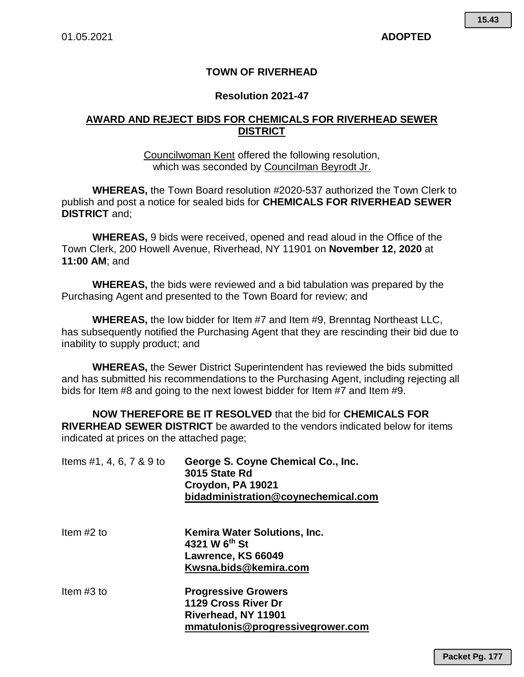## **TOWN OF RIVERHEAD**

#### **Resolution 2021-47**

## **AWARD AND REJECT BIDS FOR CHEMICALS FOR RIVERHEAD SEWER DISTRICT**

Councilwoman Kent offered the following resolution, which was seconded by Councilman Beyrodt Jr.

**WHEREAS,** the Town Board resolution #2020-537 authorized the Town Clerk to publish and post a notice for sealed bids for **CHEMICALS FOR RIVERHEAD SEWER DISTRICT** and;

**WHEREAS,** 9 bids were received, opened and read aloud in the Office of the Town Clerk, 200 Howell Avenue, Riverhead, NY 11901 on **November 12, 2020** at **11:00 AM**; and

**WHEREAS,** the bids were reviewed and a bid tabulation was prepared by the Purchasing Agent and presented to the Town Board for review; and

**WHEREAS,** the low bidder for Item #7 and Item #9, Brenntag Northeast LLC, has subsequently notified the Purchasing Agent that they are rescinding their bid due to inability to supply product; and

**WHEREAS,** the Sewer District Superintendent has reviewed the bids submitted and has submitted his recommendations to the Purchasing Agent, including rejecting all bids for Item #8 and going to the next lowest bidder for Item #7 and Item #9.

**NOW THEREFORE BE IT RESOLVED** that the bid for **CHEMICALS FOR RIVERHEAD SEWER DISTRICT** be awarded to the vendors indicated below for items indicated at prices on the attached page;

| Items #1, 4, 6, 7 & 9 to | George S. Coyne Chemical Co., Inc.<br>3015 State Rd<br>Croydon, PA 19021<br>bidadministration@coynechemical.com |  |  |  |  |  |  |
|--------------------------|-----------------------------------------------------------------------------------------------------------------|--|--|--|--|--|--|
| Item $#2$ to             | <b>Kemira Water Solutions, Inc.</b><br>4321 W 6 <sup>th</sup> St<br>Lawrence, KS 66049<br>Kwsna.bids@kemira.com |  |  |  |  |  |  |
| Item $#3$ to             | <b>Progressive Growers</b><br>1129 Cross River Dr<br>Riverhead, NY 11901<br>mmatulonis@progressivegrower.com    |  |  |  |  |  |  |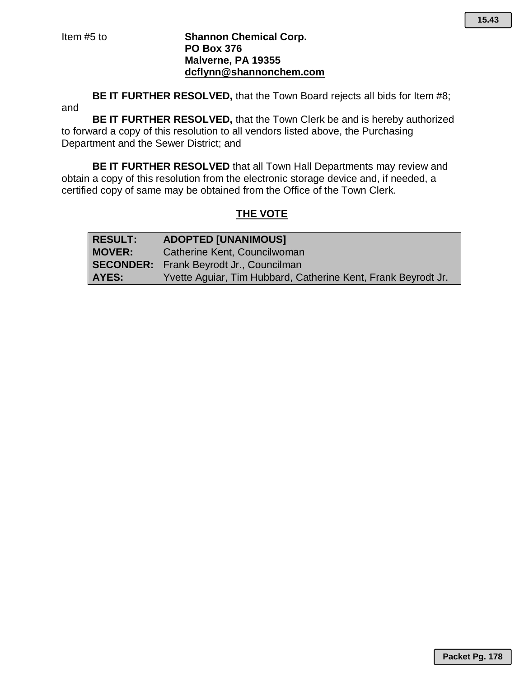#### Item #5 to **Shannon Chemical Corp. PO Box 376 Malverne, PA 19355 dcflynn@shannonchem.com**

**BE IT FURTHER RESOLVED,** that the Town Board rejects all bids for Item #8; and

**BE IT FURTHER RESOLVED,** that the Town Clerk be and is hereby authorized to forward a copy of this resolution to all vendors listed above, the Purchasing Department and the Sewer District; and

**BE IT FURTHER RESOLVED** that all Town Hall Departments may review and obtain a copy of this resolution from the electronic storage device and, if needed, a certified copy of same may be obtained from the Office of the Town Clerk.

# **THE VOTE**

| <b>RESULT:</b> | <b>ADOPTED [UNANIMOUS]</b>                                    |
|----------------|---------------------------------------------------------------|
| <b>MOVER:</b>  | Catherine Kent, Councilwoman                                  |
|                | <b>SECONDER:</b> Frank Beyrodt Jr., Councilman                |
| AYES:          | Yvette Aquiar, Tim Hubbard, Catherine Kent, Frank Beyrodt Jr. |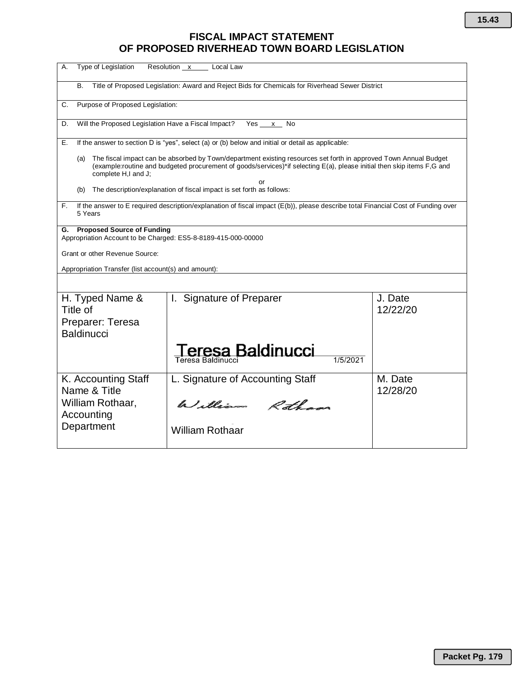# **FISCAL IMPACT STATEMENT OF PROPOSED RIVERHEAD TOWN BOARD LEGISLATION**

| Type of Legislation<br>А.                                                                                                                                                                                                                                                | Resolution x<br>Local Law        |                     |  |  |  |  |  |  |  |
|--------------------------------------------------------------------------------------------------------------------------------------------------------------------------------------------------------------------------------------------------------------------------|----------------------------------|---------------------|--|--|--|--|--|--|--|
| <b>B.</b><br>Title of Proposed Legislation: Award and Reject Bids for Chemicals for Riverhead Sewer District                                                                                                                                                             |                                  |                     |  |  |  |  |  |  |  |
| C.<br>Purpose of Proposed Legislation:                                                                                                                                                                                                                                   |                                  |                     |  |  |  |  |  |  |  |
| Will the Proposed Legislation Have a Fiscal Impact?<br>Yes x<br>D.<br>No                                                                                                                                                                                                 |                                  |                     |  |  |  |  |  |  |  |
| If the answer to section D is "yes", select (a) or (b) below and initial or detail as applicable:<br>Е.                                                                                                                                                                  |                                  |                     |  |  |  |  |  |  |  |
| The fiscal impact can be absorbed by Town/department existing resources set forth in approved Town Annual Budget<br>(a)<br>(example:routine and budgeted procurement of goods/services)*if selecting E(a), please initial then skip items F,G and<br>complete H,I and J; |                                  |                     |  |  |  |  |  |  |  |
| or<br>The description/explanation of fiscal impact is set forth as follows:<br>(b)                                                                                                                                                                                       |                                  |                     |  |  |  |  |  |  |  |
| If the answer to E required description/explanation of fiscal impact (E(b)), please describe total Financial Cost of Funding over<br>F.<br>5 Years                                                                                                                       |                                  |                     |  |  |  |  |  |  |  |
| <b>Proposed Source of Funding</b><br>G.<br>Appropriation Account to be Charged: ES5-8-8189-415-000-00000                                                                                                                                                                 |                                  |                     |  |  |  |  |  |  |  |
| Grant or other Revenue Source:                                                                                                                                                                                                                                           |                                  |                     |  |  |  |  |  |  |  |
| Appropriation Transfer (list account(s) and amount):                                                                                                                                                                                                                     |                                  |                     |  |  |  |  |  |  |  |
|                                                                                                                                                                                                                                                                          |                                  |                     |  |  |  |  |  |  |  |
| H. Typed Name &<br>Title of                                                                                                                                                                                                                                              | Signature of Preparer<br>Ι.      | J. Date<br>12/22/20 |  |  |  |  |  |  |  |
| Preparer: Teresa<br><b>Baldinucci</b>                                                                                                                                                                                                                                    |                                  |                     |  |  |  |  |  |  |  |
| sa Baldinucci                                                                                                                                                                                                                                                            |                                  |                     |  |  |  |  |  |  |  |
|                                                                                                                                                                                                                                                                          | 1/5/2021<br>Teresa Baldinucci    |                     |  |  |  |  |  |  |  |
| K. Accounting Staff<br>Name & Title                                                                                                                                                                                                                                      | L. Signature of Accounting Staff | M. Date<br>12/28/20 |  |  |  |  |  |  |  |
| William Rothaar,<br>Accounting                                                                                                                                                                                                                                           | William Rotham                   |                     |  |  |  |  |  |  |  |
| Department                                                                                                                                                                                                                                                               | <b>William Rothaar</b>           |                     |  |  |  |  |  |  |  |